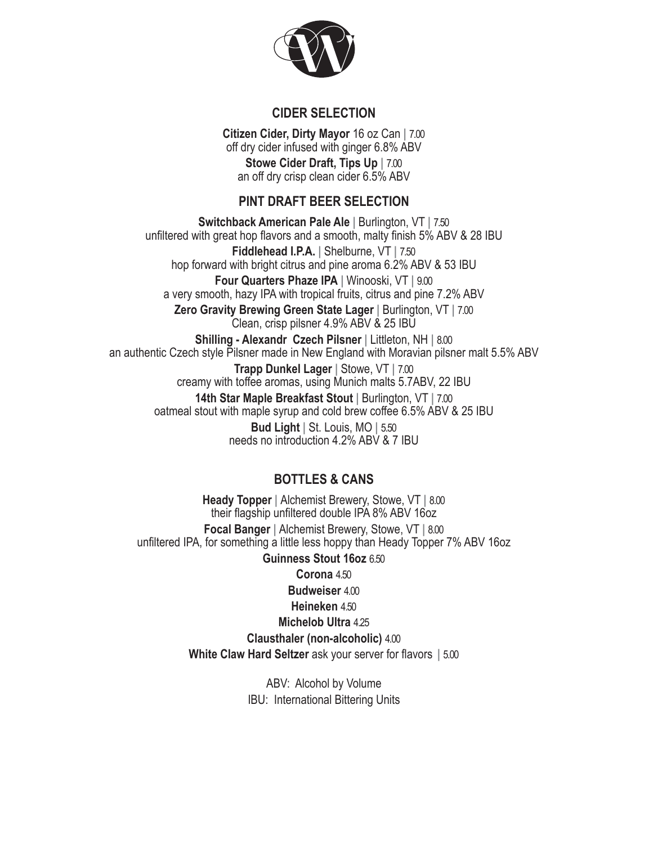

## **CIDER SELECTION**

**Citizen Cider, Dirty Mayor** 16 oz Can **|** 7.00 off dry cider infused with ginger 6.8% ABV **Stowe Cider Draft, Tips Up |** 7.00 an off dry crisp clean cider 6.5% ABV

# **PINT DRAFT BEER SELECTION**

**Switchback American Pale Ale |** Burlington, VT **|** 7.50 unfiltered with great hop flavors and a smooth, malty finish 5% ABV & 28 IBU **Fiddlehead I.P.A. |** Shelburne, VT **|** 7.50 hop forward with bright citrus and pine aroma 6.2% ABV & 53 IBU **Four Quarters Phaze IPA |** Winooski, VT **|** 9.00 a very smooth, hazy IPA with tropical fruits, citrus and pine 7.2% ABV **Zero Gravity Brewing Green State Lager |** Burlington, VT **|** 7.00 Clean, crisp pilsner 4.9% ABV & 25 IBU **Shilling - Alexandr Czech Pilsner |** Littleton, NH **|** 8.00 an authentic Czech style Pilsner made in New England with Moravian pilsner malt 5.5% ABV **Trapp Dunkel Lager |** Stowe, VT **|** 7.00 creamy with toffee aromas, using Munich malts 5.7ABV, 22 IBU **14th Star Maple Breakfast Stout |** Burlington, VT **|** 7.00 oatmeal stout with maple syrup and cold brew coffee 6.5% ABV & 25 IBU **Bud Light |** St. Louis, MO **|** 5.50

needs no introduction 4.2% ABV & 7 IBU

# **BOTTLES & CANS**

**Heady Topper |** Alchemist Brewery, Stowe, VT **|** 8.00 their flagship unfiltered double IPA 8% ABV 16oz **Focal Banger |** Alchemist Brewery, Stowe, VT **|** 8.00 unfiltered IPA, for something a little less hoppy than Heady Topper 7% ABV 16oz **Guinness Stout 16oz** 6.50 **Corona** 4.50 **Budweiser** 4.00 **Heineken** 4.50 **Michelob Ultra** 4.25 **Clausthaler (non-alcoholic)** 4.00 **White Claw Hard Seltzer** ask your server for flavors **|** 5.00

> ABV: Alcohol by Volume IBU: International Bittering Units